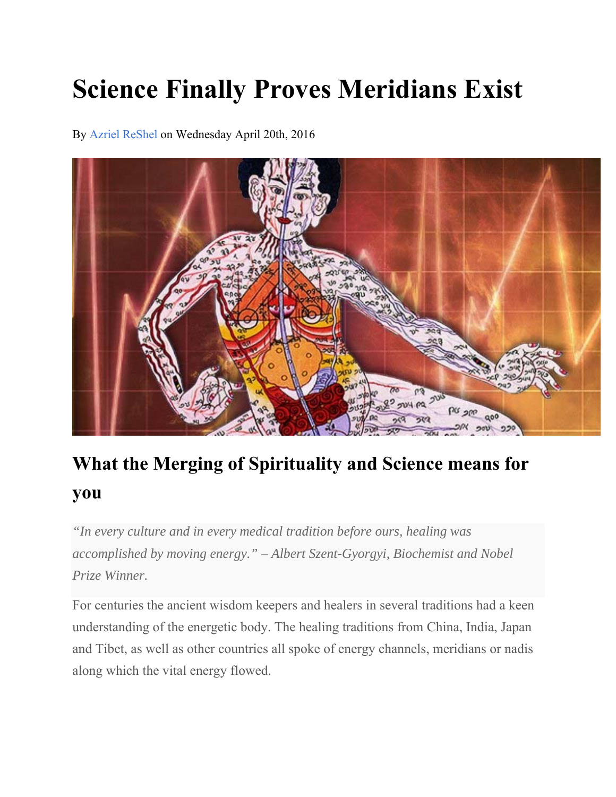# **Science Finally Proves Meridians Exist**

By Azriel ReShel on Wednesday April 20th, 2016



## **What the Merging of Spirituality and Science means for you**

*"In every culture and in every medical tradition before ours, healing was accomplished by moving energy." – Albert Szent-Gyorgyi, Biochemist and Nobel Prize Winner.* 

For centuries the ancient wisdom keepers and healers in several traditions had a keen understanding of the energetic body. The healing traditions from China, India, Japan and Tibet, as well as other countries all spoke of energy channels, meridians or nadis along which the vital energy flowed.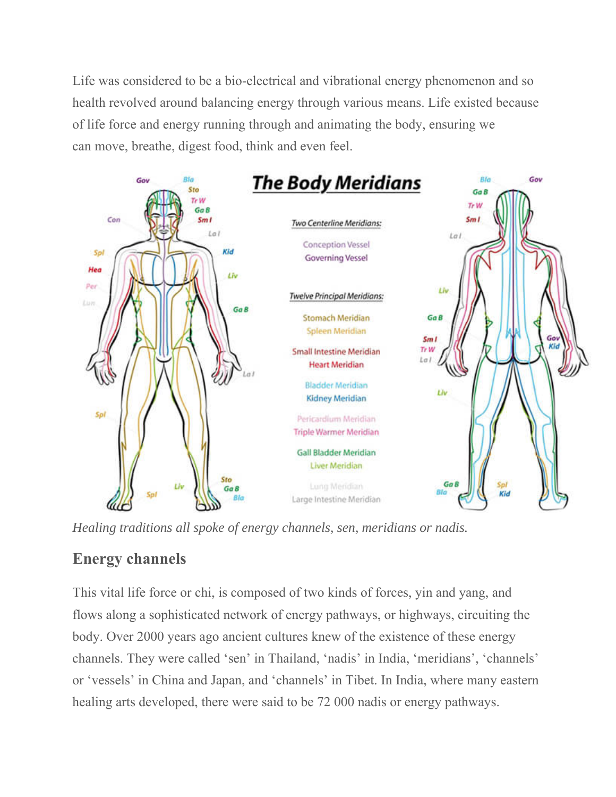Life was considered to be a bio-electrical and vibrational energy phenomenon and so health revolved around balancing energy through various means. Life existed because of life force and energy running through and animating the body, ensuring we can move, breathe, digest food, think and even feel.



*Healing traditions all spoke of energy channels, sen, meridians or nadis.*

### **Energy channels**

This vital life force or chi, is composed of two kinds of forces, yin and yang, and flows along a sophisticated network of energy pathways, or highways, circuiting the body. Over 2000 years ago ancient cultures knew of the existence of these energy channels. They were called 'sen' in Thailand, 'nadis' in India, 'meridians', 'channels' or 'vessels' in China and Japan, and 'channels' in Tibet. In India, where many eastern healing arts developed, there were said to be 72 000 nadis or energy pathways.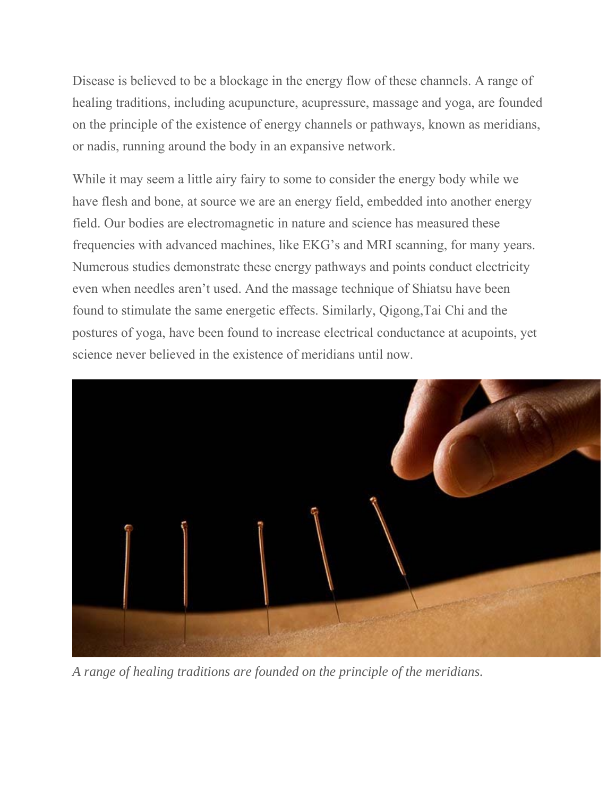Disease is believed to be a blockage in the energy flow of these channels. A range of healing traditions, including acupuncture, acupressure, massage and yoga, are founded on the principle of the existence of energy channels or pathways, known as meridians, or nadis, running around the body in an expansive network.

While it may seem a little airy fairy to some to consider the energy body while we have flesh and bone, at source we are an energy field, embedded into another energy field. Our bodies are electromagnetic in nature and science has measured these frequencies with advanced machines, like EKG's and MRI scanning, for many years. Numerous studies demonstrate these energy pathways and points conduct electricity even when needles aren't used. And the massage technique of Shiatsu have been found to stimulate the same energetic effects. Similarly, Qigong,Tai Chi and the postures of yoga, have been found to increase electrical conductance at acupoints, yet science never believed in the existence of meridians until now.



*A range of healing traditions are founded on the principle of the meridians.*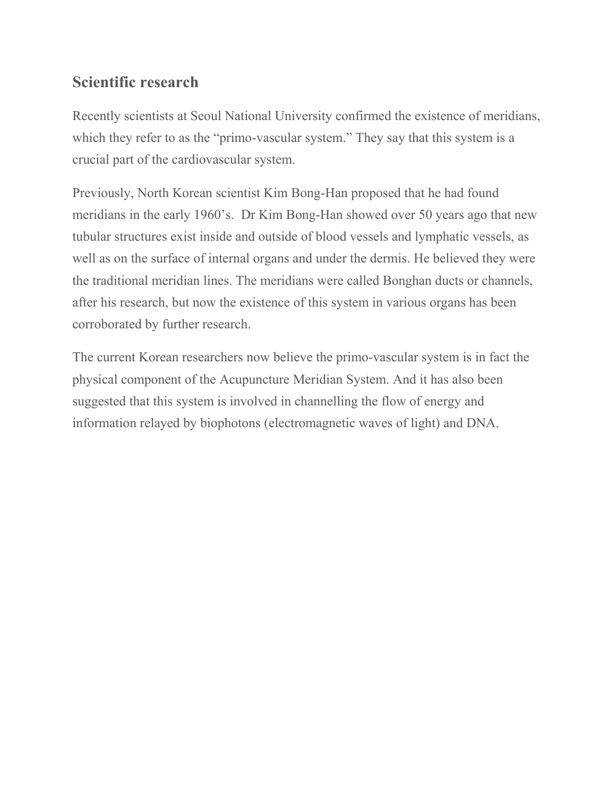#### **Scientific research**

Recently scientists at Seoul National University confirmed the existence of meridians, which they refer to as the "primo-vascular system." They say that this system is a crucial part of the cardiovascular system.

Previously, North Korean scientist Kim Bong-Han proposed that he had found meridians in the early 1960's. Dr Kim Bong-Han showed over 50 years ago that new tubular structures exist inside and outside of blood vessels and lymphatic vessels, as well as on the surface of internal organs and under the dermis. He believed they were the traditional meridian lines. The meridians were called Bonghan ducts or channels, after his research, but now the existence of this system in various organs has been corroborated by further research.

The current Korean researchers now believe the primo-vascular system is in fact the physical component of the Acupuncture Meridian System. And it has also been suggested that this system is involved in channelling the flow of energy and information relayed by biophotons (electromagnetic waves of light) and DNA.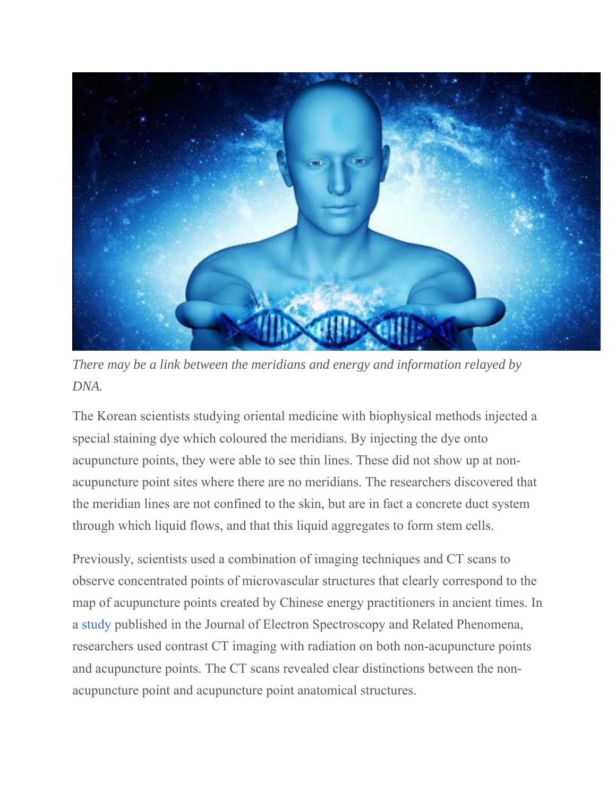

*There may be a link between the meridians and energy and information relayed by DNA.*

The Korean scientists studying oriental medicine with biophysical methods injected a special staining dye which coloured the meridians. By injecting the dye onto acupuncture points, they were able to see thin lines. These did not show up at nonacupuncture point sites where there are no meridians. The researchers discovered that the meridian lines are not confined to the skin, but are in fact a concrete duct system through which liquid flows, and that this liquid aggregates to form stem cells.

Previously, scientists used a combination of imaging techniques and CT scans to observe concentrated points of microvascular structures that clearly correspond to the map of acupuncture points created by Chinese energy practitioners in ancient times. In a study published in the Journal of Electron Spectroscopy and Related Phenomena, researchers used contrast CT imaging with radiation on both non-acupuncture points and acupuncture points. The CT scans revealed clear distinctions between the nonacupuncture point and acupuncture point anatomical structures.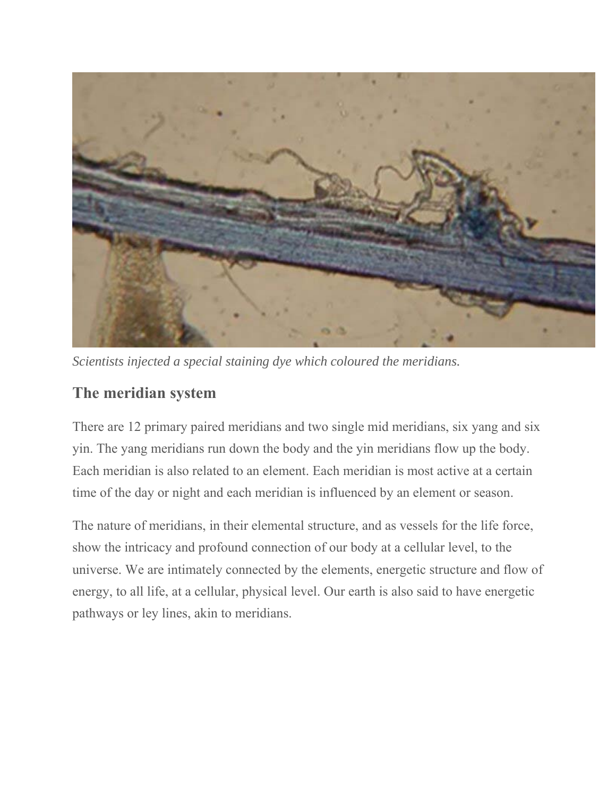

*Scientists injected a special staining dye which coloured the meridians.*

#### **The meridian system**

There are 12 primary paired meridians and two single mid meridians, six yang and six yin. The yang meridians run down the body and the yin meridians flow up the body. Each meridian is also related to an element. Each meridian is most active at a certain time of the day or night and each meridian is influenced by an element or season.

The nature of meridians, in their elemental structure, and as vessels for the life force, show the intricacy and profound connection of our body at a cellular level, to the universe. We are intimately connected by the elements, energetic structure and flow of energy, to all life, at a cellular, physical level. Our earth is also said to have energetic pathways or ley lines, akin to meridians.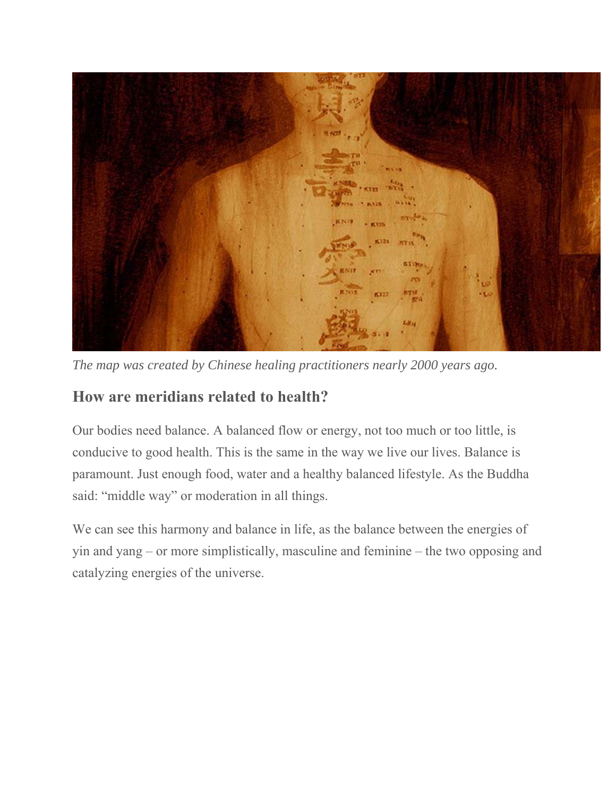

*The map was created by Chinese healing practitioners nearly 2000 years ago.*

#### **How are meridians related to health?**

Our bodies need balance. A balanced flow or energy, not too much or too little, is conducive to good health. This is the same in the way we live our lives. Balance is paramount. Just enough food, water and a healthy balanced lifestyle. As the Buddha said: "middle way" or moderation in all things.

We can see this harmony and balance in life, as the balance between the energies of yin and yang – or more simplistically, masculine and feminine – the two opposing and catalyzing energies of the universe.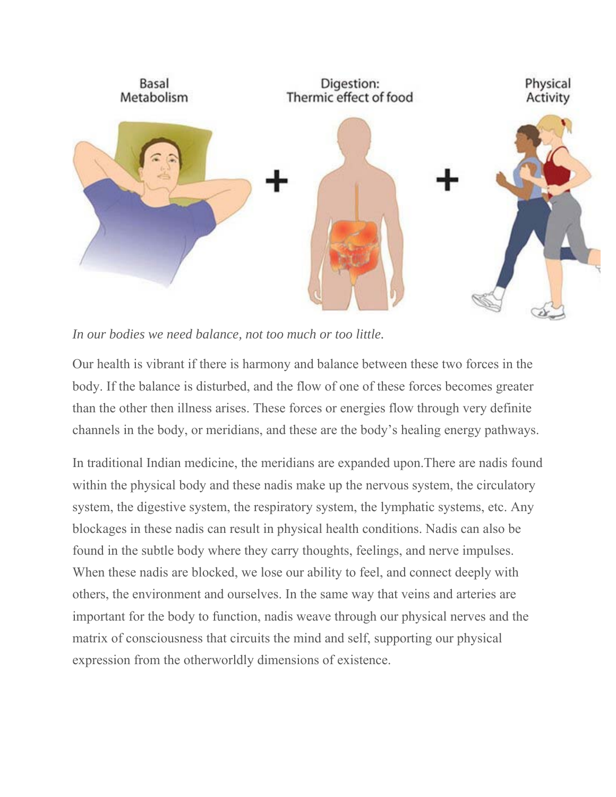

*In our bodies we need balance, not too much or too little.*

Our health is vibrant if there is harmony and balance between these two forces in the body. If the balance is disturbed, and the flow of one of these forces becomes greater than the other then illness arises. These forces or energies flow through very definite channels in the body, or meridians, and these are the body's healing energy pathways.

In traditional Indian medicine, the meridians are expanded upon.There are nadis found within the physical body and these nadis make up the nervous system, the circulatory system, the digestive system, the respiratory system, the lymphatic systems, etc. Any blockages in these nadis can result in physical health conditions. Nadis can also be found in the subtle body where they carry thoughts, feelings, and nerve impulses. When these nadis are blocked, we lose our ability to feel, and connect deeply with others, the environment and ourselves. In the same way that veins and arteries are important for the body to function, nadis weave through our physical nerves and the matrix of consciousness that circuits the mind and self, supporting our physical expression from the otherworldly dimensions of existence.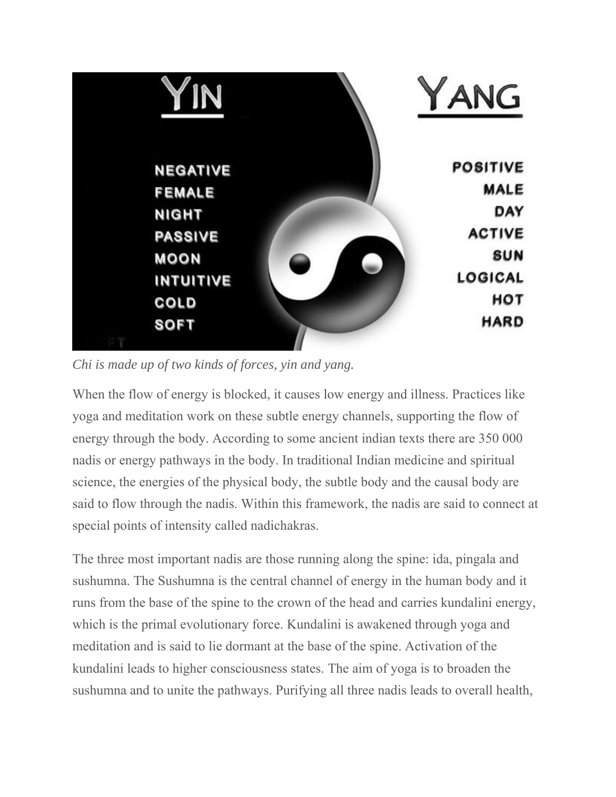

*Chi is made up of two kinds of forces, yin and yang.*

When the flow of energy is blocked, it causes low energy and illness. Practices like yoga and meditation work on these subtle energy channels, supporting the flow of energy through the body. According to some ancient indian texts there are 350 000 nadis or energy pathways in the body. In traditional Indian medicine and spiritual science, the energies of the physical body, the subtle body and the causal body are said to flow through the nadis. Within this framework, the nadis are said to connect at special points of intensity called nadichakras.

The three most important nadis are those running along the spine: ida, pingala and sushumna. The Sushumna is the central channel of energy in the human body and it runs from the base of the spine to the crown of the head and carries kundalini energy, which is the primal evolutionary force. Kundalini is awakened through yoga and meditation and is said to lie dormant at the base of the spine. Activation of the kundalini leads to higher consciousness states. The aim of yoga is to broaden the sushumna and to unite the pathways. Purifying all three nadis leads to overall health,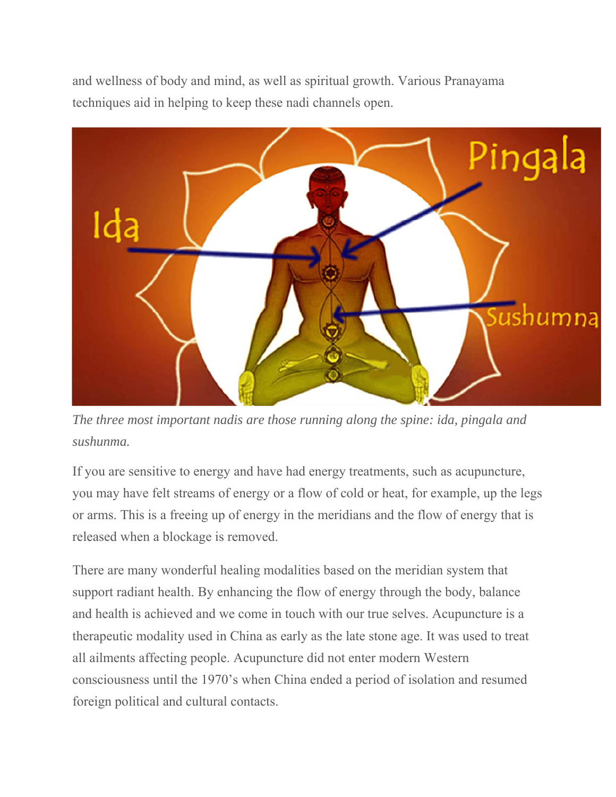and wellness of body and mind, as well as spiritual growth. Various Pranayama techniques aid in helping to keep these nadi channels open.



*The three most important nadis are those running along the spine: ida, pingala and sushunma.*

If you are sensitive to energy and have had energy treatments, such as acupuncture, you may have felt streams of energy or a flow of cold or heat, for example, up the legs or arms. This is a freeing up of energy in the meridians and the flow of energy that is released when a blockage is removed.

There are many wonderful healing modalities based on the meridian system that support radiant health. By enhancing the flow of energy through the body, balance and health is achieved and we come in touch with our true selves. Acupuncture is a therapeutic modality used in China as early as the late stone age. It was used to treat all ailments affecting people. Acupuncture did not enter modern Western consciousness until the 1970's when China ended a period of isolation and resumed foreign political and cultural contacts.